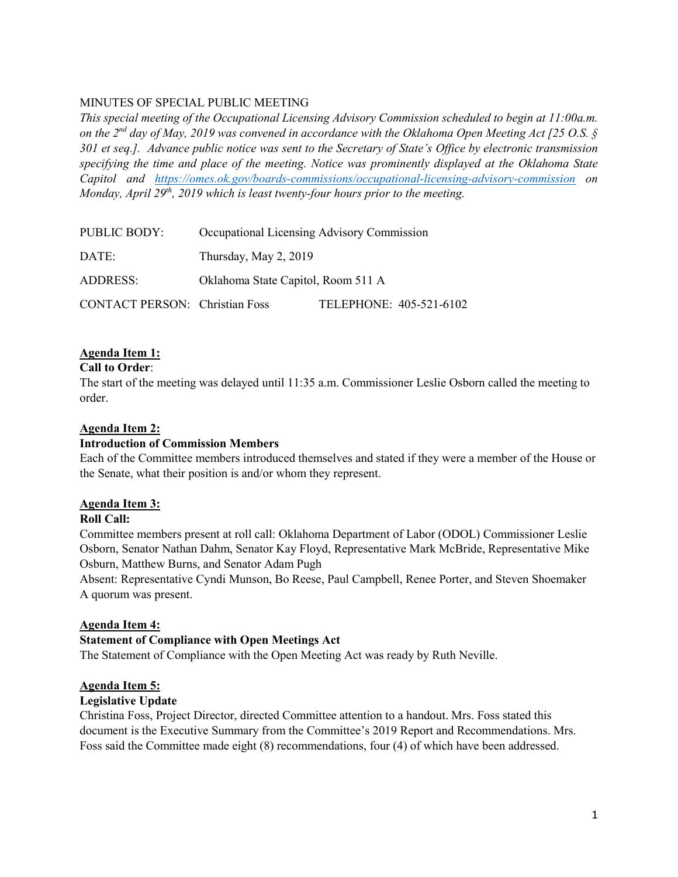# MINUTES OF SPECIAL PUBLIC MEETING

*This special meeting of the Occupational Licensing Advisory Commission scheduled to begin at 11:00a.m. on the 2nd day of May, 2019 was convened in accordance with the Oklahoma Open Meeting Act [25 O.S. § 301 et seq.]. Advance public notice was sent to the Secretary of State's Office by electronic transmission specifying the time and place of the meeting. Notice was prominently displayed at the Oklahoma State Capitol and <https://omes.ok.gov/boards-commissions/occupational-licensing-advisory-commission>on Monday, April 29th, 2019 which is least twenty-four hours prior to the meeting.* 

| <b>PUBLIC BODY:</b>                   | Occupational Licensing Advisory Commission |                         |
|---------------------------------------|--------------------------------------------|-------------------------|
| DATE:                                 | Thursday, May 2, 2019                      |                         |
| ADDRESS:                              | Oklahoma State Capitol, Room 511 A         |                         |
| <b>CONTACT PERSON:</b> Christian Foss |                                            | TELEPHONE: 405-521-6102 |

## **Agenda Item 1:**

#### **Call to Order**:

The start of the meeting was delayed until 11:35 a.m. Commissioner Leslie Osborn called the meeting to order.

### **Agenda Item 2:**

### **Introduction of Commission Members**

Each of the Committee members introduced themselves and stated if they were a member of the House or the Senate, what their position is and/or whom they represent.

### **Agenda Item 3:**

## **Roll Call:**

Committee members present at roll call: Oklahoma Department of Labor (ODOL) Commissioner Leslie Osborn, Senator Nathan Dahm, Senator Kay Floyd, Representative Mark McBride, Representative Mike Osburn, Matthew Burns, and Senator Adam Pugh

Absent: Representative Cyndi Munson, Bo Reese, Paul Campbell, Renee Porter, and Steven Shoemaker A quorum was present.

### **Agenda Item 4:**

### **Statement of Compliance with Open Meetings Act**

The Statement of Compliance with the Open Meeting Act was ready by Ruth Neville.

### **Agenda Item 5:**

### **Legislative Update**

Christina Foss, Project Director, directed Committee attention to a handout. Mrs. Foss stated this document is the Executive Summary from the Committee's 2019 Report and Recommendations. Mrs. Foss said the Committee made eight (8) recommendations, four (4) of which have been addressed.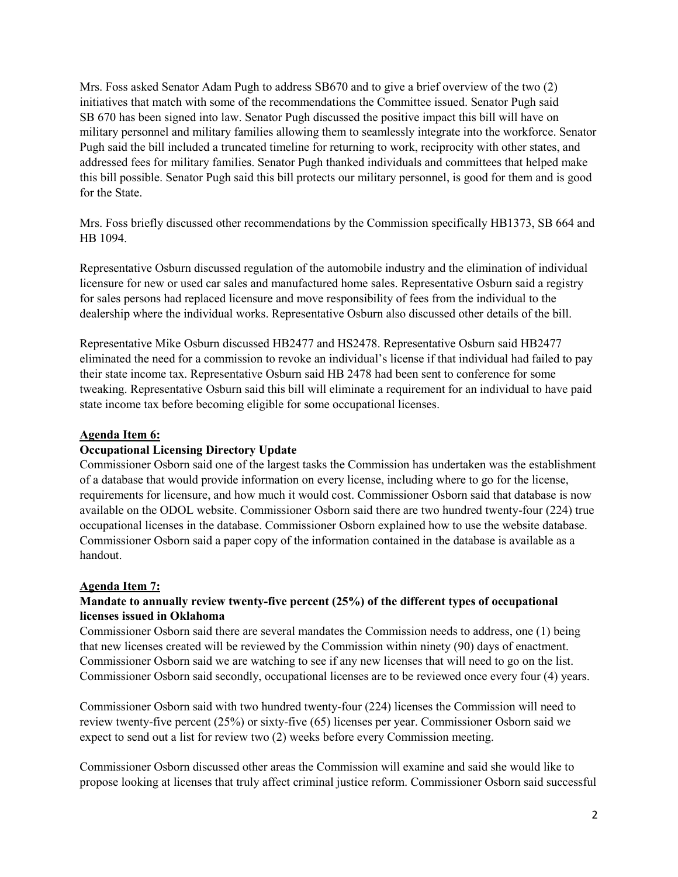Mrs. Foss asked Senator Adam Pugh to address SB670 and to give a brief overview of the two (2) initiatives that match with some of the recommendations the Committee issued. Senator Pugh said SB 670 has been signed into law. Senator Pugh discussed the positive impact this bill will have on military personnel and military families allowing them to seamlessly integrate into the workforce. Senator Pugh said the bill included a truncated timeline for returning to work, reciprocity with other states, and addressed fees for military families. Senator Pugh thanked individuals and committees that helped make this bill possible. Senator Pugh said this bill protects our military personnel, is good for them and is good for the State.

Mrs. Foss briefly discussed other recommendations by the Commission specifically HB1373, SB 664 and HB 1094.

Representative Osburn discussed regulation of the automobile industry and the elimination of individual licensure for new or used car sales and manufactured home sales. Representative Osburn said a registry for sales persons had replaced licensure and move responsibility of fees from the individual to the dealership where the individual works. Representative Osburn also discussed other details of the bill.

Representative Mike Osburn discussed HB2477 and HS2478. Representative Osburn said HB2477 eliminated the need for a commission to revoke an individual's license if that individual had failed to pay their state income tax. Representative Osburn said HB 2478 had been sent to conference for some tweaking. Representative Osburn said this bill will eliminate a requirement for an individual to have paid state income tax before becoming eligible for some occupational licenses.

## **Agenda Item 6:**

### **Occupational Licensing Directory Update**

Commissioner Osborn said one of the largest tasks the Commission has undertaken was the establishment of a database that would provide information on every license, including where to go for the license, requirements for licensure, and how much it would cost. Commissioner Osborn said that database is now available on the ODOL website. Commissioner Osborn said there are two hundred twenty-four (224) true occupational licenses in the database. Commissioner Osborn explained how to use the website database. Commissioner Osborn said a paper copy of the information contained in the database is available as a handout.

### **Agenda Item 7:**

## **Mandate to annually review twenty-five percent (25%) of the different types of occupational licenses issued in Oklahoma**

Commissioner Osborn said there are several mandates the Commission needs to address, one (1) being that new licenses created will be reviewed by the Commission within ninety (90) days of enactment. Commissioner Osborn said we are watching to see if any new licenses that will need to go on the list. Commissioner Osborn said secondly, occupational licenses are to be reviewed once every four (4) years.

Commissioner Osborn said with two hundred twenty-four (224) licenses the Commission will need to review twenty-five percent (25%) or sixty-five (65) licenses per year. Commissioner Osborn said we expect to send out a list for review two (2) weeks before every Commission meeting.

Commissioner Osborn discussed other areas the Commission will examine and said she would like to propose looking at licenses that truly affect criminal justice reform. Commissioner Osborn said successful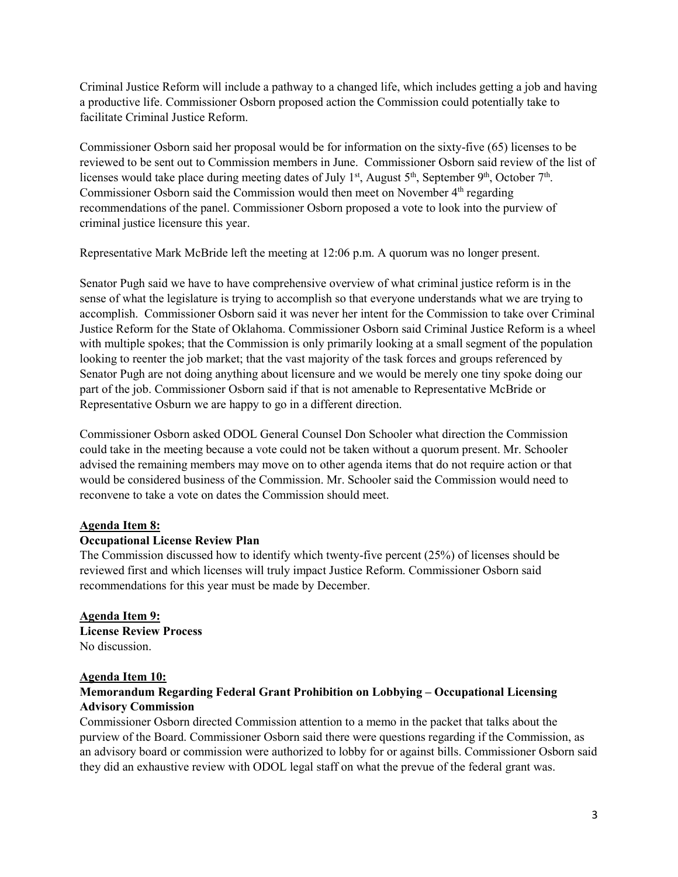Criminal Justice Reform will include a pathway to a changed life, which includes getting a job and having a productive life. Commissioner Osborn proposed action the Commission could potentially take to facilitate Criminal Justice Reform.

Commissioner Osborn said her proposal would be for information on the sixty-five (65) licenses to be reviewed to be sent out to Commission members in June. Commissioner Osborn said review of the list of licenses would take place during meeting dates of July 1<sup>st</sup>, August 5<sup>th</sup>, September 9<sup>th</sup>, October 7<sup>th</sup>. Commissioner Osborn said the Commission would then meet on November 4<sup>th</sup> regarding recommendations of the panel. Commissioner Osborn proposed a vote to look into the purview of criminal justice licensure this year.

Representative Mark McBride left the meeting at 12:06 p.m. A quorum was no longer present.

Senator Pugh said we have to have comprehensive overview of what criminal justice reform is in the sense of what the legislature is trying to accomplish so that everyone understands what we are trying to accomplish. Commissioner Osborn said it was never her intent for the Commission to take over Criminal Justice Reform for the State of Oklahoma. Commissioner Osborn said Criminal Justice Reform is a wheel with multiple spokes; that the Commission is only primarily looking at a small segment of the population looking to reenter the job market; that the vast majority of the task forces and groups referenced by Senator Pugh are not doing anything about licensure and we would be merely one tiny spoke doing our part of the job. Commissioner Osborn said if that is not amenable to Representative McBride or Representative Osburn we are happy to go in a different direction.

Commissioner Osborn asked ODOL General Counsel Don Schooler what direction the Commission could take in the meeting because a vote could not be taken without a quorum present. Mr. Schooler advised the remaining members may move on to other agenda items that do not require action or that would be considered business of the Commission. Mr. Schooler said the Commission would need to reconvene to take a vote on dates the Commission should meet.

### **Agenda Item 8:**

### **Occupational License Review Plan**

The Commission discussed how to identify which twenty-five percent (25%) of licenses should be reviewed first and which licenses will truly impact Justice Reform. Commissioner Osborn said recommendations for this year must be made by December.

### **Agenda Item 9: License Review Process** No discussion.

### **Agenda Item 10:**

# **Memorandum Regarding Federal Grant Prohibition on Lobbying – Occupational Licensing Advisory Commission**

Commissioner Osborn directed Commission attention to a memo in the packet that talks about the purview of the Board. Commissioner Osborn said there were questions regarding if the Commission, as an advisory board or commission were authorized to lobby for or against bills. Commissioner Osborn said they did an exhaustive review with ODOL legal staff on what the prevue of the federal grant was.